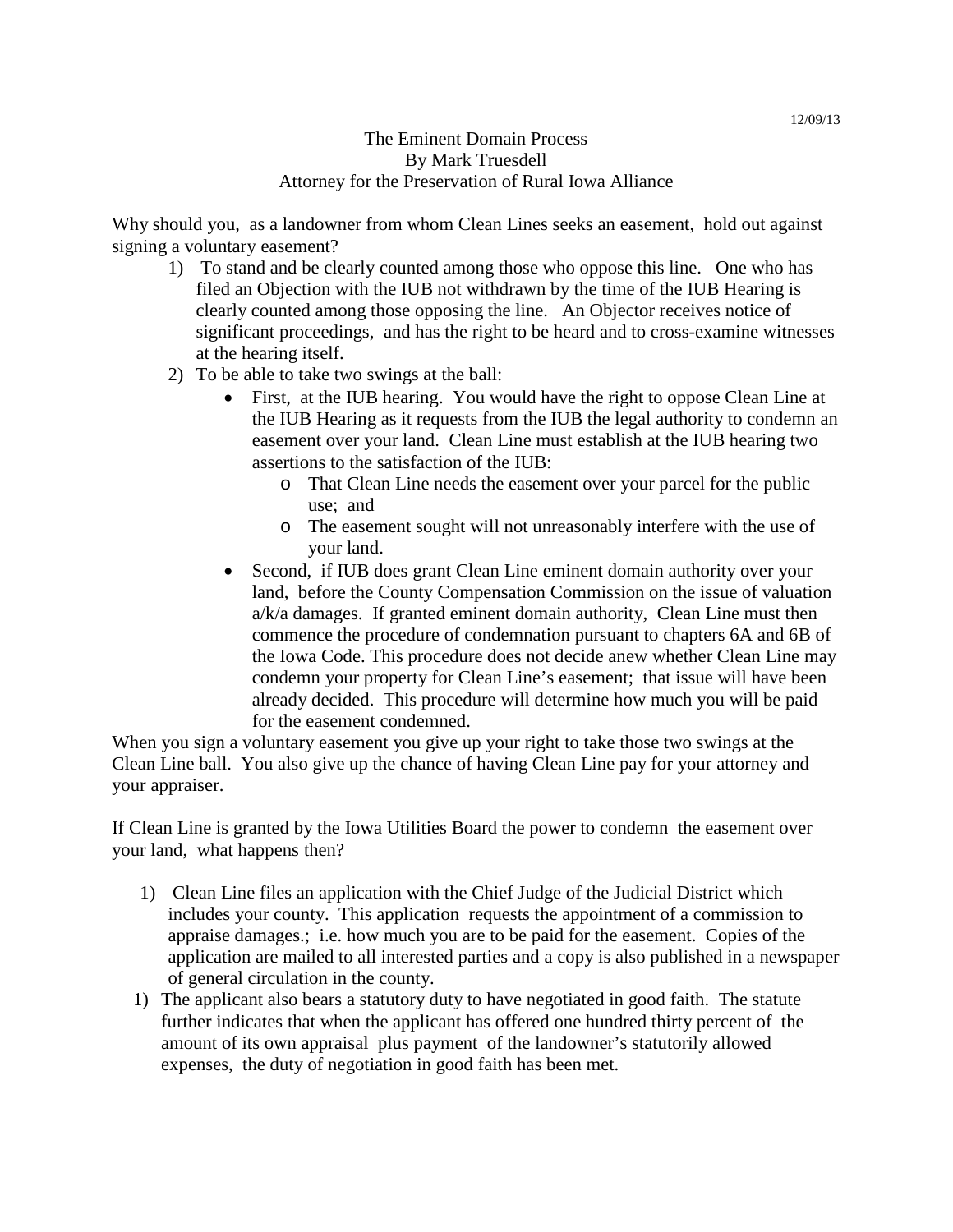## The Eminent Domain Process By Mark Truesdell Attorney for the Preservation of Rural Iowa Alliance

Why should you, as a landowner from whom Clean Lines seeks an easement, hold out against signing a voluntary easement?

- 1) To stand and be clearly counted among those who oppose this line. One who has filed an Objection with the IUB not withdrawn by the time of the IUB Hearing is clearly counted among those opposing the line. An Objector receives notice of significant proceedings, and has the right to be heard and to cross-examine witnesses at the hearing itself.
- 2) To be able to take two swings at the ball:
	- First, at the IUB hearing. You would have the right to oppose Clean Line at the IUB Hearing as it requests from the IUB the legal authority to condemn an easement over your land. Clean Line must establish at the IUB hearing two assertions to the satisfaction of the IUB:
		- o That Clean Line needs the easement over your parcel for the public use; and
		- o The easement sought will not unreasonably interfere with the use of your land.
	- Second, if IUB does grant Clean Line eminent domain authority over your land, before the County Compensation Commission on the issue of valuation a/k/a damages. If granted eminent domain authority, Clean Line must then commence the procedure of condemnation pursuant to chapters 6A and 6B of the Iowa Code. This procedure does not decide anew whether Clean Line may condemn your property for Clean Line's easement; that issue will have been already decided. This procedure will determine how much you will be paid for the easement condemned.

When you sign a voluntary easement you give up your right to take those two swings at the Clean Line ball. You also give up the chance of having Clean Line pay for your attorney and your appraiser.

If Clean Line is granted by the Iowa Utilities Board the power to condemn the easement over your land, what happens then?

- 1) Clean Line files an application with the Chief Judge of the Judicial District which includes your county. This application requests the appointment of a commission to appraise damages.; i.e. how much you are to be paid for the easement. Copies of the application are mailed to all interested parties and a copy is also published in a newspaper of general circulation in the county.
- 1) The applicant also bears a statutory duty to have negotiated in good faith. The statute further indicates that when the applicant has offered one hundred thirty percent of the amount of its own appraisal plus payment of the landowner's statutorily allowed expenses, the duty of negotiation in good faith has been met.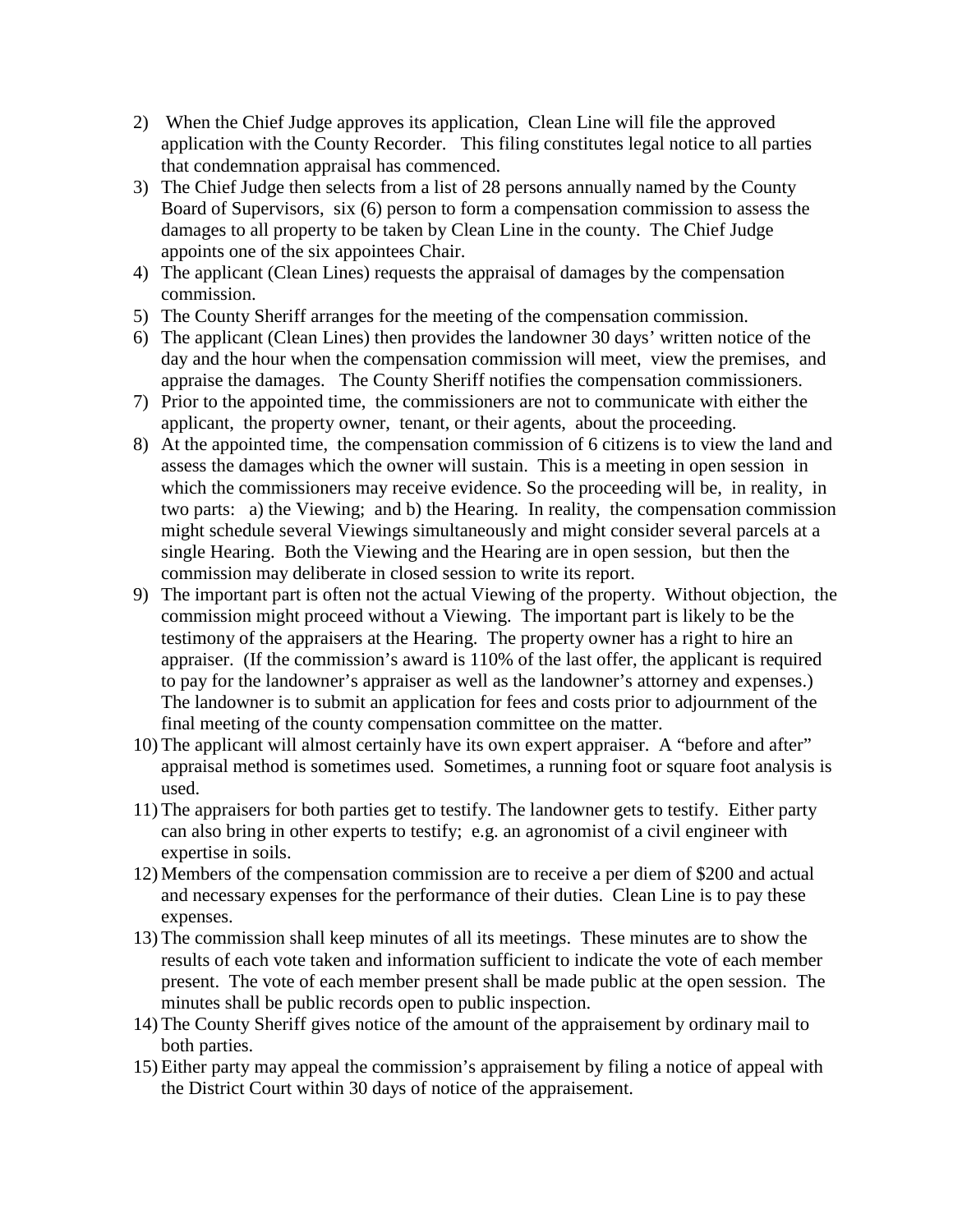- 2) When the Chief Judge approves its application, Clean Line will file the approved application with the County Recorder. This filing constitutes legal notice to all parties that condemnation appraisal has commenced.
- 3) The Chief Judge then selects from a list of 28 persons annually named by the County Board of Supervisors, six (6) person to form a compensation commission to assess the damages to all property to be taken by Clean Line in the county. The Chief Judge appoints one of the six appointees Chair.
- 4) The applicant (Clean Lines) requests the appraisal of damages by the compensation commission.
- 5) The County Sheriff arranges for the meeting of the compensation commission.
- 6) The applicant (Clean Lines) then provides the landowner 30 days' written notice of the day and the hour when the compensation commission will meet, view the premises, and appraise the damages. The County Sheriff notifies the compensation commissioners.
- 7) Prior to the appointed time, the commissioners are not to communicate with either the applicant, the property owner, tenant, or their agents, about the proceeding.
- 8) At the appointed time, the compensation commission of 6 citizens is to view the land and assess the damages which the owner will sustain. This is a meeting in open session in which the commissioners may receive evidence. So the proceeding will be, in reality, in two parts: a) the Viewing; and b) the Hearing. In reality, the compensation commission might schedule several Viewings simultaneously and might consider several parcels at a single Hearing. Both the Viewing and the Hearing are in open session, but then the commission may deliberate in closed session to write its report.
- 9) The important part is often not the actual Viewing of the property. Without objection, the commission might proceed without a Viewing. The important part is likely to be the testimony of the appraisers at the Hearing. The property owner has a right to hire an appraiser. (If the commission's award is 110% of the last offer, the applicant is required to pay for the landowner's appraiser as well as the landowner's attorney and expenses.) The landowner is to submit an application for fees and costs prior to adjournment of the final meeting of the county compensation committee on the matter.
- 10) The applicant will almost certainly have its own expert appraiser. A "before and after" appraisal method is sometimes used. Sometimes, a running foot or square foot analysis is used.
- 11) The appraisers for both parties get to testify. The landowner gets to testify. Either party can also bring in other experts to testify; e.g. an agronomist of a civil engineer with expertise in soils.
- 12) Members of the compensation commission are to receive a per diem of \$200 and actual and necessary expenses for the performance of their duties. Clean Line is to pay these expenses.
- 13) The commission shall keep minutes of all its meetings. These minutes are to show the results of each vote taken and information sufficient to indicate the vote of each member present. The vote of each member present shall be made public at the open session. The minutes shall be public records open to public inspection.
- 14) The County Sheriff gives notice of the amount of the appraisement by ordinary mail to both parties.
- 15) Either party may appeal the commission's appraisement by filing a notice of appeal with the District Court within 30 days of notice of the appraisement.